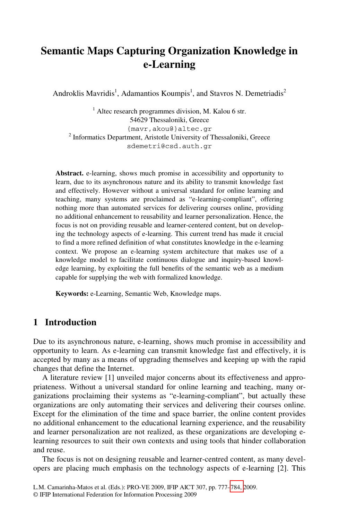# **Semantic Maps Capturing Organization Knowledge in e-Learning**

Androklis Mavridis<sup>1</sup>, Adamantios Koumpis<sup>1</sup>, and Stavros N. Demetriadis<sup>2</sup>

<sup>1</sup> Altec research programmes division, M. Kalou 6 str. 54629 Thessaloniki, Greece {mavr,akou@}altec.gr <sup>2</sup> Informatics Department, Aristotle University of Thessaloniki, Greece sdemetri@csd.auth.gr

**Abstract.** e-learning, shows much promise in accessibility and opportunity to learn, due to its asynchronous nature and its ability to transmit knowledge fast and effectively. However without a universal standard for online learning and teaching, many systems are proclaimed as "e-learning-compliant", offering nothing more than automated services for delivering courses online, providing no additional enhancement to reusability and learner personalization. Hence, the focus is not on providing reusable and learner-centered content, but on developing the technology aspects of e-learning. This current trend has made it crucial to find a more refined definition of what constitutes knowledge in the e-learning context. We propose an e-learning system architecture that makes use of a knowledge model to facilitate continuous dialogue and inquiry-based knowledge learning, by exploiting the full benefits of the semantic web as a medium capable for supplying the web with formalized knowledge.

**Keywords:** e-Learning, Semantic Web, Knowledge maps.

# **1 Introduction**

Due to its asynchronous nature, e-learning, shows much promise in accessibility and opportunity to learn. As e-learning can transmit knowledge fast and effectively, it is accepted by many as a means of upgrading themselves and keeping up with the rapid changes that define the Internet.

A literature review [1] unveiled major concerns about its effectiveness and appropriateness. Without a universal standard for online learning and teaching, many organizations proclaiming their systems as "e-learning-compliant", but actually these organizations are only automating their services and delivering their courses online. Except for the elimination of the time a[nd sp](#page-7-0)ace barrier, the online content provides no additional enhancement to the educational learning experience, and the reusability and learner personalization are not realized, as these organizations are developing elearning resources to suit their own contexts and using tools that hinder collaboration and reuse.

The focus is not on designing reusable and learner-centred content, as many developers are placing much emphasis on the technology aspects of e-learning [2]. This

L.M. Camarinha-Matos et al. (Eds.): PRO-VE 2009, IFIP AICT 307, pp. 777–784, 2009.

<sup>©</sup> IFIP International Federation for Information Processing 2009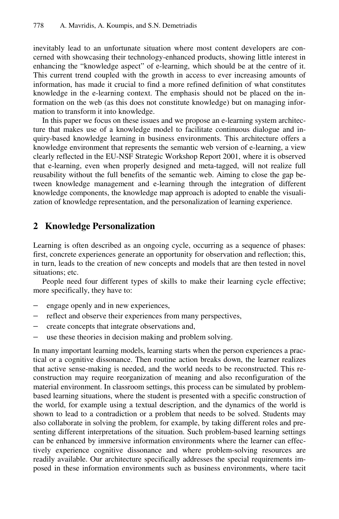inevitably lead to an unfortunate situation where most content developers are concerned with showcasing their technology-enhanced products, showing little interest in enhancing the "knowledge aspect" of e-learning, which should be at the centre of it. This current trend coupled with the growth in access to ever increasing amounts of information, has made it crucial to find a more refined definition of what constitutes knowledge in the e-learning context. The emphasis should not be placed on the information on the web (as this does not constitute knowledge) but on managing information to transform it into knowledge.

In this paper we focus on these issues and we propose an e-learning system architecture that makes use of a knowledge model to facilitate continuous dialogue and inquiry-based knowledge learning in business environments. This architecture offers a knowledge environment that represents the semantic web version of e-learning, a view clearly reflected in the EU-NSF Strategic Workshop Report 2001, where it is observed that e-learning, even when properly designed and meta-tagged, will not realize full reusability without the full benefits of the semantic web. Aiming to close the gap between knowledge management and e-learning through the integration of different knowledge components, the knowledge map approach is adopted to enable the visualization of knowledge representation, and the personalization of learning experience.

# **2 Knowledge Personalization**

Learning is often described as an ongoing cycle, occurring as a sequence of phases: first, concrete experiences generate an opportunity for observation and reflection; this, in turn, leads to the creation of new concepts and models that are then tested in novel situations; etc.

People need four different types of skills to make their learning cycle effective; more specifically, they have to:

- engage openly and in new experiences,
- − reflect and observe their experiences from many perspectives,
- − create concepts that integrate observations and,
- use these theories in decision making and problem solving.

In many important learning models, learning starts when the person experiences a practical or a cognitive dissonance. Then routine action breaks down, the learner realizes that active sense-making is needed, and the world needs to be reconstructed. This reconstruction may require reorganization of meaning and also reconfiguration of the material environment. In classroom settings, this process can be simulated by problembased learning situations, where the student is presented with a specific construction of the world, for example using a textual description, and the dynamics of the world is shown to lead to a contradiction or a problem that needs to be solved. Students may also collaborate in solving the problem, for example, by taking different roles and presenting different interpretations of the situation. Such problem-based learning settings can be enhanced by immersive information environments where the learner can effectively experience cognitive dissonance and where problem-solving resources are readily available. Our architecture specifically addresses the special requirements imposed in these information environments such as business environments, where tacit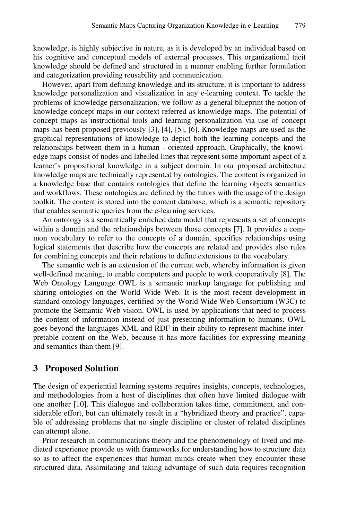knowledge, is highly subjective in nature, as it is developed by an individual based on his cognitive and conceptual models of external processes. This organizational tacit knowledge should be defined and structured in a manner enabling further formulation and categorization providing reusability and communication.

However, apart from defining knowledge and its structure, it is important to address knowledge personalization and visualization in any e-learning context. To tackle the problems of knowledge personalization, we follow as a general blueprint the notion of knowledge concept maps in our context referred as knowledge maps. The potential of concept maps as instructional tools and learning personalization via use of concept maps has been proposed previously [3], [4], [5], [6]. Knowledge maps are used as the graphical representations of knowledge to depict both the learning concepts and the relationships between them in a human - oriented approach. Graphically, the knowledge maps consist of nodes and labelled lines that represent some important aspect of a learner's propositional knowledge in a subject domain. In our proposed architecture knowledge maps are technically represented by ontologies. The content is organized in a knowledge base that contains ontologies that define the learning objects semantics and workflows. These ontologies are defined by the tutors with the usage of the design toolkit. The content is stored into the content database, which is a semantic repository that enables semantic queries from the e-learning services.

An ontology is a semantically enriched data model that represents a set of concepts within a domain and the relationships between those concepts [7]. It provides a common vocabulary to refer to the concepts of a domain, specifies relationships using logical statements that describe how the concepts are related and provides also rules for combining concepts and their relations to define extensions to the vocabulary.

The semantic web is an extension of the current web, whereby information is given well-defined meaning, to enable computers and people to work cooperatively [8]. The Web Ontology Language OWL is a semantic markup language for publishing and sharing ontologies on the World Wide Web. It is the most recent development in standard ontology languages, certified by the World Wide Web Consortium (W3C) to promote the Semantic Web vision. OWL is used by applications that need to process the content of information instead of just presenting information to humans. OWL goes beyond the languages XML and RDF in their ability to represent machine interpretable content on the Web, because it has more facilities for expressing meaning and semantics than them [9].

#### **3 Proposed Solution**

The design of experiential learning systems requires insights, concepts, technologies, and methodologies from a host of disciplines that often have limited dialogue with one another [10]. This dialogue and collaboration takes time, commitment, and considerable effort, but can ultimately result in a "hybridized theory and practice", capable of addressing problems that no single discipline or cluster of related disciplines can attempt alone.

Prior research in communications theory and the phenomenology of lived and mediated experience provide us with frameworks for understanding how to structure data so as to affect the experiences that human minds create when they encounter these structured data. Assimilating and taking advantage of such data requires recognition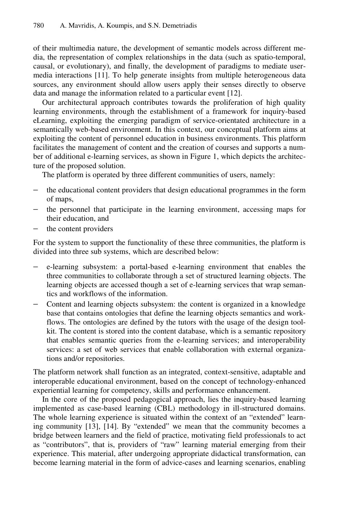of their multimedia nature, the development of semantic models across different media, the representation of complex relationships in the data (such as spatio-temporal, causal, or evolutionary), and finally, the development of paradigms to mediate usermedia interactions [11]. To help generate insights from multiple heterogeneous data sources, any environment should allow users apply their senses directly to observe data and manage the information related to a particular event [12].

Our architectural approach contributes towards the proliferation of high quality learning environments, through the establishment of a framework for inquiry-based eLearning, exploiting the emerging paradigm of service-orientated architecture in a semantically web-based environment. In this context, our conceptual platform aims at exploiting the content of personnel education in business environments. This platform facilitates the management of content and the creation of courses and supports a number of additional e-learning services, as shown in Figure 1, which depicts the architecture of the proposed solution.

The platform is operated by three different communities of users, namely:

- the educational content providers that design educational programmes in the form of maps,
- the personnel that participate in the learning environment, accessing maps for their education, and
- the content providers

For the system to support the functionality of these three communities, the platform is divided into three sub systems, which are described below:

- − e-learning subsystem: a portal-based e-learning environment that enables the three communities to collaborate through a set of structured learning objects. The learning objects are accessed though a set of e-learning services that wrap semantics and workflows of the information.
- − Content and learning objects subsystem: the content is organized in a knowledge base that contains ontologies that define the learning objects semantics and workflows. The ontologies are defined by the tutors with the usage of the design toolkit. The content is stored into the content database, which is a semantic repository that enables semantic queries from the e-learning services; and interoperability services: a set of web services that enable collaboration with external organizations and/or repositories.

The platform network shall function as an integrated, context-sensitive, adaptable and interoperable educational environment, based on the concept of technology-enhanced experiential learning for competency, skills and performance enhancement.

In the core of the proposed pedagogical approach, lies the inquiry-based learning implemented as case-based learning (CBL) methodology in ill-structured domains. The whole learning experience is situated within the context of an "extended" learning community [13], [14]. By "extended" we mean that the community becomes a bridge between learners and the field of practice, motivating field professionals to act as "contributors", that is, providers of "raw" learning material emerging from their experience. This material, after undergoing appropriate didactical transformation, can become learning material in the form of advice-cases and learning scenarios, enabling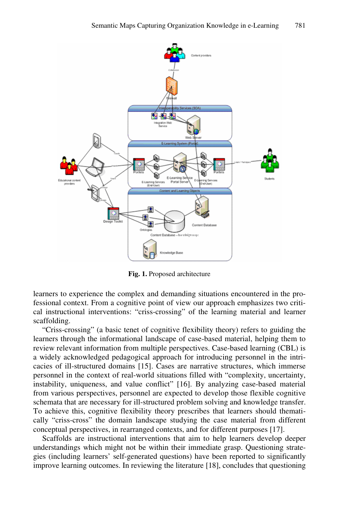

**Fig. 1.** Proposed architecture

learners to experience the complex and demanding situations encountered in the professional context. From a cognitive point of view our approach emphasizes two critical instructional interventions: "criss-crossing" of the learning material and learner scaffolding.

"Criss-crossing" (a basic tenet of cognitive flexibility theory) refers to guiding the learners through the informational landscape of case-based material, helping them to review relevant information from multiple perspectives. Case-based learning (CBL) is a widely acknowledged pedagogical approach for introducing personnel in the intricacies of ill-structured domains [15]. Cases are narrative structures, which immerse personnel in the context of real-world situations filled with "complexity, uncertainty, instability, uniqueness, and value conflict" [16]. By analyzing case-based material from various perspectives, personnel are expected to develop those flexible cognitive schemata that are necessary for ill-structured problem solving and knowledge transfer. To achieve this, cognitive flexibility theory prescribes that learners should thematically "criss-cross" the domain landscape studying the case material from different conceptual perspectives, in rearranged contexts, and for different purposes [17].

Scaffolds are instructional interventions that aim to help learners develop deeper understandings which might not be within their immediate grasp. Questioning strategies (including learners' self-generated questions) have been reported to significantly improve learning outcomes. In reviewing the literature [18], concludes that questioning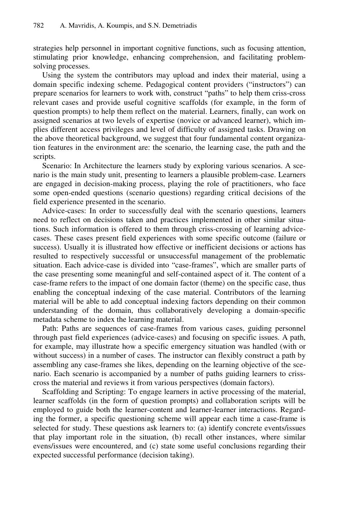strategies help personnel in important cognitive functions, such as focusing attention, stimulating prior knowledge, enhancing comprehension, and facilitating problemsolving processes.

Using the system the contributors may upload and index their material, using a domain specific indexing scheme. Pedagogical content providers ("instructors") can prepare scenarios for learners to work with, construct "paths" to help them criss-cross relevant cases and provide useful cognitive scaffolds (for example, in the form of question prompts) to help them reflect on the material. Learners, finally, can work on assigned scenarios at two levels of expertise (novice or advanced learner), which implies different access privileges and level of difficulty of assigned tasks. Drawing on the above theoretical background, we suggest that four fundamental content organization features in the environment are: the scenario, the learning case, the path and the scripts.

Scenario: In Architecture the learners study by exploring various scenarios. A scenario is the main study unit, presenting to learners a plausible problem-case. Learners are engaged in decision-making process, playing the role of practitioners, who face some open-ended questions (scenario questions) regarding critical decisions of the field experience presented in the scenario.

Advice-cases: In order to successfully deal with the scenario questions, learners need to reflect on decisions taken and practices implemented in other similar situations. Such information is offered to them through criss-crossing of learning advicecases. These cases present field experiences with some specific outcome (failure or success). Usually it is illustrated how effective or inefficient decisions or actions has resulted to respectively successful or unsuccessful management of the problematic situation. Each advice-case is divided into "case-frames", which are smaller parts of the case presenting some meaningful and self-contained aspect of it. The content of a case-frame refers to the impact of one domain factor (theme) on the specific case, thus enabling the conceptual indexing of the case material. Contributors of the learning material will be able to add conceptual indexing factors depending on their common understanding of the domain, thus collaboratively developing a domain-specific metadata scheme to index the learning material.

Path: Paths are sequences of case-frames from various cases, guiding personnel through past field experiences (advice-cases) and focusing on specific issues. A path, for example, may illustrate how a specific emergency situation was handled (with or without success) in a number of cases. The instructor can flexibly construct a path by assembling any case-frames she likes, depending on the learning objective of the scenario. Each scenario is accompanied by a number of paths guiding learners to crisscross the material and reviews it from various perspectives (domain factors).

Scaffolding and Scripting: To engage learners in active processing of the material, learner scaffolds (in the form of question prompts) and collaboration scripts will be employed to guide both the learner-content and learner-learner interactions. Regarding the former, a specific questioning scheme will appear each time a case-frame is selected for study. These questions ask learners to: (a) identify concrete events/issues that play important role in the situation, (b) recall other instances, where similar evens/issues were encountered, and (c) state some useful conclusions regarding their expected successful performance (decision taking).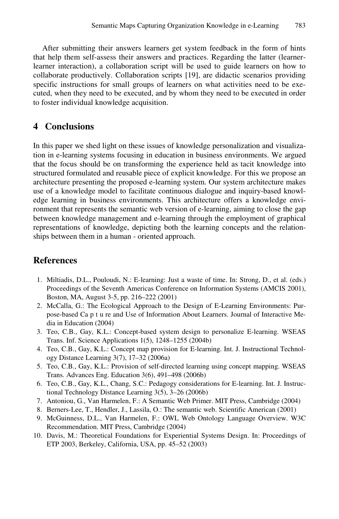After submitting their answers learners get system feedback in the form of hints that help them self-assess their answers and practices. Regarding the latter (learnerlearner interaction), a collaboration script will be used to guide learners on how to collaborate productively. Collaboration scripts [19], are didactic scenarios providing specific instructions for small groups of learners on what activities need to be executed, when they need to be executed, and by whom they need to be executed in order to foster individual knowledge acquisition.

### **4 Conclusions**

In this paper we shed light on these issues of knowledge personalization and visualization in e-learning systems focusing in education in business environments. We argued that the focus should be on transforming the experience held as tacit knowledge into structured formulated and reusable piece of explicit knowledge. For this we propose an architecture presenting the proposed e-learning system. Our system architecture makes use of a knowledge model to facilitate continuous dialogue and inquiry-based knowledge learning in business environments. This architecture offers a knowledge environment that represents the semantic web version of e-learning, aiming to close the gap between knowledge management and e-learning through the employment of graphical representations of knowledge, depicting both the learning concepts and the relationships between them in a human - oriented approach.

### **References**

- 1. Miltiadis, D.L., Pouloudi, N.: E-learning: Just a waste of time. In: Strong, D., et al. (eds.) Proceedings of the Seventh Americas Conference on Information Systems (AMCIS 2001), Boston, MA, August 3-5, pp. 216–222 (2001)
- 2. McCalla, G.: The Ecological Approach to the Design of E-Learning Environments: Purpose-based Ca p t u re and Use of Information About Learners. Journal of Interactive Media in Education (2004)
- 3. Teo, C.B., Gay, K.L.: Concept-based system design to personalize E-learning. WSEAS Trans. Inf. Science Applications 1(5), 1248–1255 (2004b)
- 4. Teo, C.B., Gay, K.L.: Concept map provision for E-learning. Int. J. Instructional Technology Distance Learning 3(7), 17–32 (2006a)
- 5. Teo, C.B., Gay, K.L.: Provision of self-directed learning using concept mapping. WSEAS Trans. Advances Eng. Education 3(6), 491–498 (2006b)
- 6. Teo, C.B., Gay, K.L., Chang, S.C.: Pedagogy considerations for E-learning. Int. J. Instructional Technology Distance Learning 3(5), 3–26 (2006b)
- 7. Antoniou, G., Van Harmelen, F.: A Semantic Web Primer. MIT Press, Cambridge (2004)
- 8. Berners-Lee, T., Hendler, J., Lassila, O.: The semantic web. Scientific American (2001)
- 9. McGuinness, D.L., Van Harmelen, F.: OWL Web Ontology Language Overview. W3C Recommendation. MIT Press, Cambridge (2004)
- 10. Davis, M.: Theoretical Foundations for Experiential Systems Design. In: Proceedings of ETP 2003, Berkeley, California, USA, pp. 45–52 (2003)